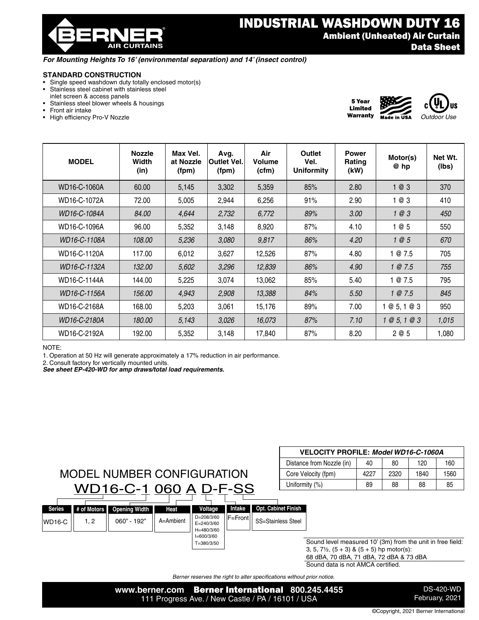

### *For Mounting Heights To 16' (environmental separation) and 14' (insect control)*

#### **STANDARD CONSTRUCTION**

- Single speed washdown duty totally enclosed motor(s)<br>• Stainless steel cabinet with stainless steel
- Stainless steel cabinet with stainless steel inlet screen & access panels
- Stainless steel blower wheels & housings
- Front air intake
- High efficiency Pro-V Nozzle





Warranty

| <b>MODEL</b> | <b>Nozzle</b><br>Width<br>(in) | Max Vel.<br>at Nozzle<br>(fpm) | Avg.<br><b>Outlet Vel.</b><br>(fpm) | Air<br>Volume<br>(cfm) | Outlet<br>Vel.<br><b>Uniformity</b> | <b>Power</b><br>Rating<br>(kW) | Motor(s)<br>@ hp | Net Wt.<br>(lbs) |
|--------------|--------------------------------|--------------------------------|-------------------------------------|------------------------|-------------------------------------|--------------------------------|------------------|------------------|
| WD16-C-1060A | 60.00                          | 5,145                          | 3,302                               | 5,359                  | 85%                                 | 2.80                           | 1@3              | 370              |
| WD16-C-1072A | 72.00                          | 5,005                          | 2,944                               | 6,256                  | 91%                                 | 2.90                           | 1@3              | 410              |
| WD16-C-1084A | 84.00                          | 4,644                          | 2,732                               | 6,772                  | 89%                                 | 3.00                           | 1@3              | 450              |
| WD16-C-1096A | 96.00                          | 5,352                          | 3,148                               | 8,920                  | 87%                                 | 4.10                           | 1@5              | 550              |
| WD16-C-1108A | 108.00                         | 5,236                          | 3,080                               | 9,817                  | 86%                                 | 4.20                           | 1@5              | 670              |
| WD16-C-1120A | 117.00                         | 6,012                          | 3,627                               | 12,526                 | 87%                                 | 4.80                           | 1 @ 7.5          | 705              |
| WD16-C-1132A | 132.00                         | 5,602                          | 3,296                               | 12,839                 | 86%                                 | 4.90                           | 1 @ 7.5          | 755              |
| WD16-C-1144A | 144.00                         | 5,225                          | 3,074                               | 13,062                 | 85%                                 | 5.40                           | 1 @ 7.5          | 795              |
| WD16-C-1156A | 156.00                         | 4,943                          | 2,908                               | 13,388                 | 84%                                 | 5.50                           | 1 @ 7.5          | 845              |
| WD16-C-2168A | 168.00                         | 5,203                          | 3,061                               | 15,176                 | 89%                                 | 7.00                           | 1@5, 1@3         | 950              |
| WD16-C-2180A | 180.00                         | 5,143                          | 3,026                               | 16,073                 | 87%                                 | 7.10                           | 1 @ 5, 1 @ 3     | 1,015            |
| WD16-C-2192A | 192.00                         | 5,352                          | 3,148                               | 17,840                 | 87%                                 | 8.20                           | 2 @ 5            | 1,080            |

#### NOTE:

1. Operation at 50 Hz will generate approximately a 17% reduction in air performance.

2. Consult factory for vertically mounted units.

*See sheet EP-420-WD for amp draws/total load requirements.*

|               |      |                                   |                     |                                            |                  |                            |      | Distance from Nozzle (in)                                 | 40 | 80 | 120 | 160 |
|---------------|------|-----------------------------------|---------------------|--------------------------------------------|------------------|----------------------------|------|-----------------------------------------------------------|----|----|-----|-----|
|               |      | <b>MODEL NUMBER CONFIGURATION</b> | Core Velocity (fpm) |                                            | 4227             | 2320                       | 1840 | 1560                                                      |    |    |     |     |
|               |      | WD16-C-1 060 A D-F-SS             |                     |                                            |                  |                            |      | Uniformity (%)                                            | 89 | 88 | 88  | 85  |
|               |      |                                   |                     |                                            |                  |                            |      |                                                           |    |    |     |     |
| <b>Series</b> |      | # of Motors   Opening Width       | Heat                | Voltage                                    | Intake           | <b>Opt. Cabinet Finish</b> |      |                                                           |    |    |     |     |
| $WD16-C$      | 1, 2 | $060" - 192"$                     | A=Ambient           | D=208/3/60<br>$E = 240/3/60$<br>H=480/3/60 | <b>IF=Frontl</b> | <b>SS=Stainless Steel</b>  |      |                                                           |    |    |     |     |
|               |      |                                   |                     | $I=600/3/60$                               |                  |                            |      |                                                           |    |    |     |     |
|               |      |                                   |                     | T=380/3/50                                 |                  |                            |      | Sound level measured 10' (3m) from the unit in free field |    |    |     |     |

Sound level measured 10' (3m) from the unit in free field: 3, 5,  $7\frac{1}{2}$ ,  $(5 + 3)$  &  $(5 + 5)$  hp motor(s): 68 dBA, 70 dBA, 71 dBA, 72 dBA & 73 dBA Sound data is not AMCA certified.

**VELOCITY PROFILE:** *Model WD16-C-1060A*

*Berner reserves the right to alter specifications without prior notice.*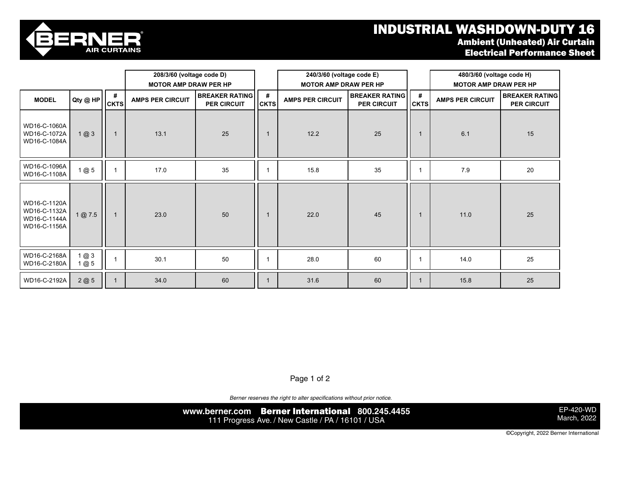## INDUSTRIAL WASHDOWN-DUTY 16 Ambient (Unheated) Air Curtain Electrical Performance Sheet



WD16-C-1120A

|                                                              |            |                  | 208/3/60 (voltage code D)<br><b>MOTOR AMP DRAW PER HP</b> |                                             |                  | 240/3/60 (voltage code E)<br><b>MOTOR AMP DRAW PER HP</b> |                                             |                  | 480/3/60 (voltage code H)<br><b>MOTOR AMP DRAW PER HP</b> |                                             |
|--------------------------------------------------------------|------------|------------------|-----------------------------------------------------------|---------------------------------------------|------------------|-----------------------------------------------------------|---------------------------------------------|------------------|-----------------------------------------------------------|---------------------------------------------|
| <b>MODEL</b>                                                 | Qty@HP     | #<br><b>CKTS</b> | <b>AMPS PER CIRCUIT</b>                                   | <b>BREAKER RATING</b><br><b>PER CIRCUIT</b> | #<br><b>CKTS</b> | <b>AMPS PER CIRCUIT</b>                                   | <b>BREAKER RATING</b><br><b>PER CIRCUIT</b> | #<br><b>CKTS</b> | <b>AMPS PER CIRCUIT</b>                                   | <b>BREAKER RATING</b><br><b>PER CIRCUIT</b> |
| WD16-C-1060A<br>WD16-C-1072A<br>WD16-C-1084A                 | 1@3        | -1               | 13.1                                                      | 25                                          | $\mathbf 1$      | 12.2                                                      | 25                                          | $\mathbf 1$      | 6.1                                                       | 15                                          |
| WD16-C-1096A<br>WD16-C-1108A                                 | 1@5        |                  | 17.0                                                      | 35                                          |                  | 15.8                                                      | 35                                          |                  | 7.9                                                       | 20                                          |
| WD16-C-1120A<br>WD16-C-1132A<br>WD16-C-1144A<br>WD16-C-1156A | 1@7.5      | $\mathbf{1}$     | 23.0                                                      | 50                                          | $\mathbf{1}$     | 22.0                                                      | 45                                          | $\mathbf{1}$     | 11.0                                                      | 25                                          |
| WD16-C-2168A<br>WD16-C-2180A                                 | 1@3<br>1@5 |                  | 30.1                                                      | 50                                          |                  | 28.0                                                      | 60                                          |                  | 14.0                                                      | 25                                          |
| WD16-C-2192A                                                 | 2@5        |                  | 34.0                                                      | 60                                          |                  | 31.6                                                      | 60                                          |                  | 15.8                                                      | 25                                          |

Page 1 of 2

Berner reserves the right to alter specifications without prior notice.

**www.berner.com** Berner International **800.245.4455** 111 Progress Ave. / New Castle / PA / 16101 / USA

EP-420-WD March, 2022

©Copyright, 2022 Berner International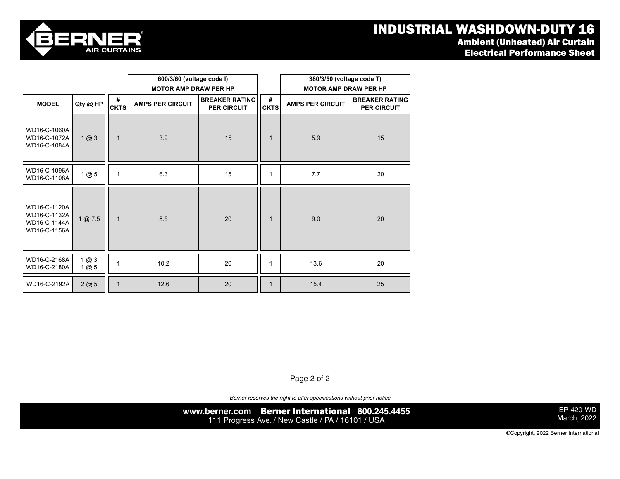# INDUSTRIAL WASHDOWN-DUTY 16

Electrical Performance Sheet



|                                                              |            |                  | 600/3/60 (voltage code I)    |                                             |                  | 380/3/50 (voltage code T)    |                                             |  |  |  |
|--------------------------------------------------------------|------------|------------------|------------------------------|---------------------------------------------|------------------|------------------------------|---------------------------------------------|--|--|--|
|                                                              |            |                  | <b>MOTOR AMP DRAW PER HP</b> |                                             |                  | <b>MOTOR AMP DRAW PER HP</b> |                                             |  |  |  |
| Qty @ HP<br><b>MODEL</b>                                     |            | #<br><b>CKTS</b> | <b>AMPS PER CIRCUIT</b>      | <b>BREAKER RATING</b><br><b>PER CIRCUIT</b> | #<br><b>CKTS</b> | <b>AMPS PER CIRCUIT</b>      | <b>BREAKER RATING</b><br><b>PER CIRCUIT</b> |  |  |  |
| WD16-C-1060A<br>WD16-C-1072A<br>WD16-C-1084A                 | 1@3        | $\mathbf 1$      | 3.9                          | 15                                          | $\mathbf 1$      | 5.9                          | 15                                          |  |  |  |
| WD16-C-1096A<br>WD16-C-1108A                                 | 1@5        | 1                | 6.3                          | 15                                          | $\mathbf{1}$     | 7.7                          | 20                                          |  |  |  |
| WD16-C-1120A<br>WD16-C-1132A<br>WD16-C-1144A<br>WD16-C-1156A | 1@7.5      | 1                | 8.5                          | 20                                          | $\mathbf 1$      | 9.0                          | 20                                          |  |  |  |
| WD16-C-2168A<br>WD16-C-2180A                                 | 1@3<br>1@5 | 1                | 10.2                         | 20                                          | 1                | 13.6                         | 20                                          |  |  |  |
| WD16-C-2192A                                                 | 2@5        |                  | 12.6                         | 20                                          | $\mathbf 1$      | 15.4                         | 25                                          |  |  |  |

Page 2 of 2

*Berner reserves the right to alter specifications without prior notice.*

**www.berner.com** Berner International **800.245.4455** 111 Progress Ave. / New Castle / PA / 16101 / USA

EP-420-WD March, 2022

©Copyright, 2022 Berner International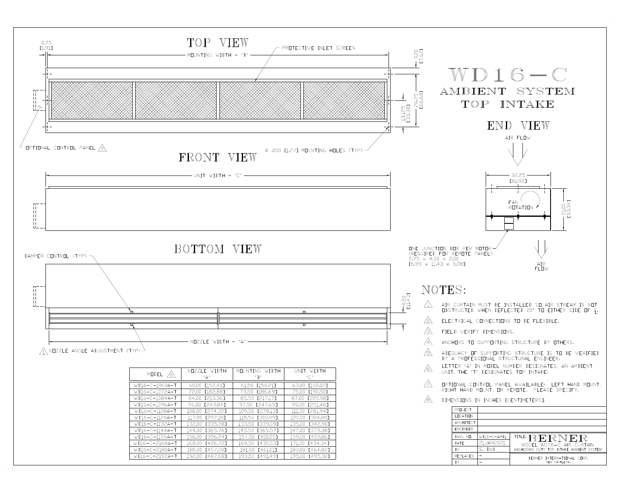